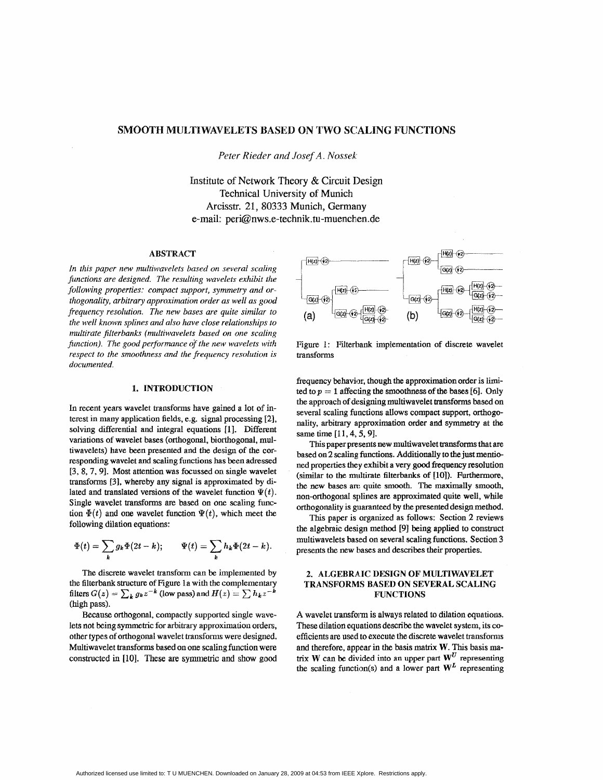# SMOOTH MULTIWAVELETS BASED ON TWO SCALING FUNCTIONS

*,Peter Rieder and Josef A. Nossek* 

Institute of **Network** Theory & Circuit Design Technical University of Munich Arcisstr. 21, **80333** Munich, **Gemany**  e-mail: peri@nws.e-technik.tu-muenchen.de

### **ABSTRACT**

*In this paper new multiwavelets based on several scaling functions are designed. The resulting wavelets exhibit the following properties: compact support, symmetry and orthogonality, arbitrary approximation order as well as good frequency resolution. The new bases are quite similar to the well known splines and also have close relationships to multirate filterbanks (multiwavelets based on one scaling function). The good performance of the new wavelets with respect to the smoothness and the frequency resolution is documented.* 

#### 1. INTRODUCTION

In recent years wavelet transforms have gained **a** lot of interest in many application fields, e.g. signal processing *[2],*  solving differential and integral equations [1]. Different variations of wavelet bases (orthogonal, biorthogonal, multiwavelets) have been presented and the design of the corresponding wavelet and scaling **functions** has been adressed **[3, 8\* 7,91.** Most attention was focussed **on single** wavelet transforms [3], whereby any signal is approximated by dilated and translated versions of the wavelet function  $\Psi(t)$ . Single wavelet transforms are based on one scaling finction  $\Phi(t)$  and one wavelet function  $\Psi(t)$ , which meet the following dilation equations:

$$
\Phi(t) = \sum_{k} g_k \Phi(2t - k); \qquad \Psi(t) = \sum_{k} h_k \Phi(2t - k).
$$

The discrete wavelet transform can be implemented by the filterbank structure of figure la with the complementary filters  $G(z) = \sum_k g_k z^{-k}$  (low pass) and  $H(z) = \sum_k h_k z^{-k}$ **(high** pass).

Because orthogonal, compactly supported single wavelets not being symmetric for arbitrary approximation orders, other types of orthogonal wavelet transforms were designed. Multiwavelet transforms based on one scaling function were constructed in [10]. These are symmetric and show good



transforms Figure 1: Filterbank implementation of discrete wavelet

frequency behavior, though the approximation order is limited to  $p = 1$  affecting the smoothness of the bases [6]. Only the approach of designing multiwavelet **transforms** based on several scaling functions allows compact support, orthogonality, arbitrary approximation order and symmetry at the same time **[a 1,4,5,91.** 

This paper presents new multiwavelet transforms that are based on 2 **scaling functions.** Additionally **to** the just mentioned properties they exhibit a very good frequency resolution (similar to the multirate filterbanks of **[lo]).** Furthermore, the new bases are quite smooth. The maximally smooth, non-orthogonal splines **are** approximated quite well, while orthogonality is guaranteed by the presented design method.

This paper **is** organized as follows: Section 2 reviews the algebraic design method [9] being applied to construct multiwavelets based on several scaling functions. Section 3 presents the new bases and describes their properties.

## **2. ALGEBRAIC DESIGN OF MULTIWAVELET TRANSFORMS BASED ON SEVERAL SCALING FUNCTIONS**

A wavelet transfom is always related to dilation equations. These dilation equations describe the wavelet system, its coefficients are used **to** execute the discrete wavelet transforms and therefore, appear in the basis **matrix W. This** basis **matrix W** can be divided into an upper part  $W^U$  representing the scaling function(s) and a lower part  $W<sup>L</sup>$  representing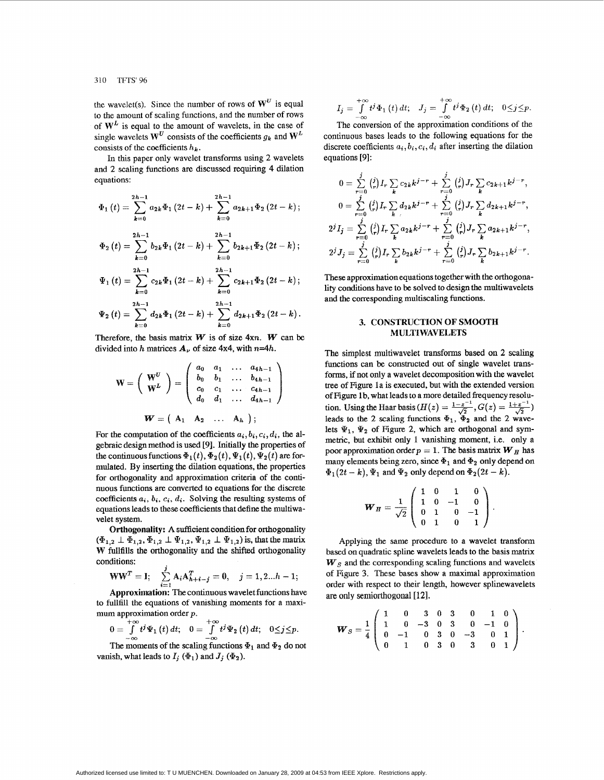the wavelet(s). Since the number of rows of  $W^U$  is equal to the amount of scaling functions, and the number **of** rows of  $W<sup>L</sup>$  is equal to the amount of wavelets, in the case of single wavelets  $W^U$  consists of the coefficients  $g_k$  and  $W^L$ consists of the coefficients  $h_k$ .

In this paper **only** wavelet transforms using 2 wavelets and 2 scaling functions are discussed requiring **4** dilation equations:

$$
\Phi_{1}(t) = \sum_{k=0}^{2h-1} a_{2k} \Phi_{1}(2t-k) + \sum_{k=0}^{2h-1} a_{2k+1} \Phi_{2}(2t-k);
$$
  

$$
\Phi_{2}(t) = \sum_{k=0}^{2h-1} b_{2k} \Phi_{1}(2t-k) + \sum_{k=0}^{2h-1} b_{2k+1} \Phi_{2}(2t-k);
$$
  

$$
\Psi_{1}(t) = \sum_{k=0}^{2h-1} c_{2k} \Phi_{1}(2t-k) + \sum_{k=0}^{2h-1} c_{2k+1} \Phi_{2}(2t-k);
$$

$$
\Psi_2(t)=\sum_{k=0}^{2h-1}d_{2k}\Phi_1(2t-k)+\sum_{k=0}^{2h-1}d_{2k+1}\Phi_2(2t-k).
$$

Therefore, the basis **matrix** *W* is of size **4xn.** *W* can be divided into *h* matrices  $A_{\nu}$  of size 4x4, with  $n=4h$ .

$$
\mathbf{W} = \left(\begin{array}{c} \mathbf{W}^{U} \\ \mathbf{W}^{L} \end{array}\right) = \left(\begin{array}{cccc} a_{0} & a_{1} & \dots & a_{4h-1} \\ b_{0} & b_{1} & \dots & b_{4h-1} \\ c_{0} & c_{1} & \dots & c_{4h-1} \\ d_{0} & d_{1} & \dots & d_{4h-1} \end{array}\right)
$$

$$
\mathbf{W} = \left(\begin{array}{cccc} A_{1} & A_{2} & \dots & A_{h} \end{array}\right);
$$

For the computation of the coefficients  $a_i, b_i, c_i, d_i$ , the algebraic design method **is** used **[9].** Initially the properties of the continuous functions  $\Phi_1(t)$ ,  $\Phi_2(t)$ ,  $\Psi_1(t)$ ,  $\Psi_2(t)$  are formulated. **By** inserting the dilation equations, the properties for orthogonality **and** approximation criteria **of** the continuous functions are converted **to** equations for the discrete coefficients  $a_i$ ,  $b_i$ ,  $c_i$ ,  $d_i$ . Solving the resulting systems of equations leads to these coefficients that define the multiwa velet system.

Orthogonality: A sufficient condition for orthogonality  $(\Phi_{1,2} \perp \Phi_{1,2}, \Phi_{1,2} \perp \Psi_{1,2}, \Psi_{1,2} \perp \Psi_{1,2})$  is, that the matrix W fullfills the orthogonality and the shifted orthogonality conditions:

$$
WWT = I; \quad \sum_{i=1}^{J} A_i A_{h+i-j}^T = 0, \quad j = 1, 2...h - 1;
$$

Approximation: The continuous wavelet functions have **to** fullfill the equations of vanishing moments for a maximum approximation order  $p$ .

$$
0=\int\limits_{-\infty}^{+\infty}t^{j}\Psi_{1}\left(t\right)dt;\quad 0=\int\limits_{-\infty}^{+\infty}t^{j}\Psi_{2}\left(t\right)dt;\quad 0\leq j\leq p.
$$

The moments of the scaling functions  $\Phi_1$  and  $\Phi_2$  do not vanish, what leads to  $I_j$  ( $\Phi_1$ ) and  $J_j$  ( $\Phi_2$ ).

$$
I_j=\int\limits_{-\infty}^{+\infty}t^j\Phi_1(t)\,dt;\quad J_j=\int\limits_{-\infty}^{+\infty}t^j\Phi_2(t)\,dt;\quad 0\leq j\leq p.
$$

The conversion **of** the approximation conditions of the continuous bases leads to the following equations for the discrete coefficients  $a_i, b_i, c_i, d_i$  after inserting the dilation equations [91:

$$
0 = \sum_{r=0}^{j} {j \choose r} I_r \sum_{k} c_{2k} k^{j-r} + \sum_{r=0}^{j} {j \choose r} J_r \sum_{k} c_{2k+1} k^{j-r},
$$
  
\n
$$
0 = \sum_{r=0}^{j} {j \choose r} I_r \sum_{k} d_{2k} k^{j-r} + \sum_{r=0}^{j} {j \choose r} J_r \sum_{k} d_{2k+1} k^{j-r},
$$
  
\n
$$
2^{j} I_j = \sum_{r=0}^{j} {j \choose r} I_r \sum_{k} a_{2k} k^{j-r} + \sum_{r=0}^{j} {j \choose r} J_r \sum_{k} a_{2k+1} k^{j-r},
$$
  
\n
$$
2^{j} J_j = \sum_{r=0}^{j} {j \choose r} I_r \sum_{k} b_{2k} k^{j-r} + \sum_{r=0}^{j} {j \choose r} J_r \sum_{k} b_{2k+1} k^{j-r}.
$$

These approximationequations together with the orthogona**lity** conditions have **to** be solved to design the multiwavelets and the corresponding multiscaling functions.

#### **3. CONSTRUCTION OF SMOOTH MULTI WAVELETS**

The simplest multiwavelet transforms based on **2** scaling functions can be constructed out **of** single wavelet transforms, if not **only a** wavelet decomposition with the wavelet tree **of** Figure 1 a is executed, but with **the** extended version **of Figure 1** b, what leads to a more detailed frequency resolutree of Figure 1a is executed, but with the extended version<br>of Figure 1b, what leads to a more detailed frequency resolu-<br>tion. Using the Haar basis ( $H(z) = \frac{1-z^{-1}}{\sqrt{2}}$ ,  $G(z) = \frac{1+z^{-1}}{\sqrt{2}}$ )<br>leads to the 2 scaling funct lets  $\Psi_1$ ,  $\Psi_2$  of Figure 2, which are orthogonal and symmetric, but exhibit only 1 vanishing moment, i.e. only a poor approximation order  $p = 1$ . The basis matrix  $W<sub>H</sub>$  has many elements being zero, since  $\Phi_1$  and  $\Phi_2$  only depend on  $\Phi_1(2t-k)$ ,  $\Psi_1$  and  $\Psi_2$  only depend on  $\Phi_2(2t-k)$ .

$$
\boldsymbol{W}_{H} = \frac{1}{\sqrt{2}} \left( \begin{array}{rrrr} 1 & 0 & 1 & 0 \\ 1 & 0 & -1 & 0 \\ 0 & 1 & 0 & -1 \\ 0 & 1 & 0 & 1 \end{array} \right)
$$

Applying the same procedure **to** a wavelet transform based on quadratic spline wavelets leads to the basis matrix  $\boldsymbol{W}_{S}$  and the corresponding scaling functions and wavelets **of** Figure *3.* These bases show a maximal approximation order with respect to **their** length, however splinewavelets are **only** semiorthogonal **[121.** 

$$
\boldsymbol{W}_{S} = \frac{1}{4} \left( \begin{array}{cccccc} 1 & 0 & 3 & 0 & 3 & 0 & 1 & 0 \\ 1 & 0 & -3 & 0 & 3 & 0 & -1 & 0 \\ 0 & -1 & 0 & 3 & 0 & -3 & 0 & 1 \\ 0 & 1 & 0 & 3 & 0 & 3 & 0 & 1 \end{array} \right)
$$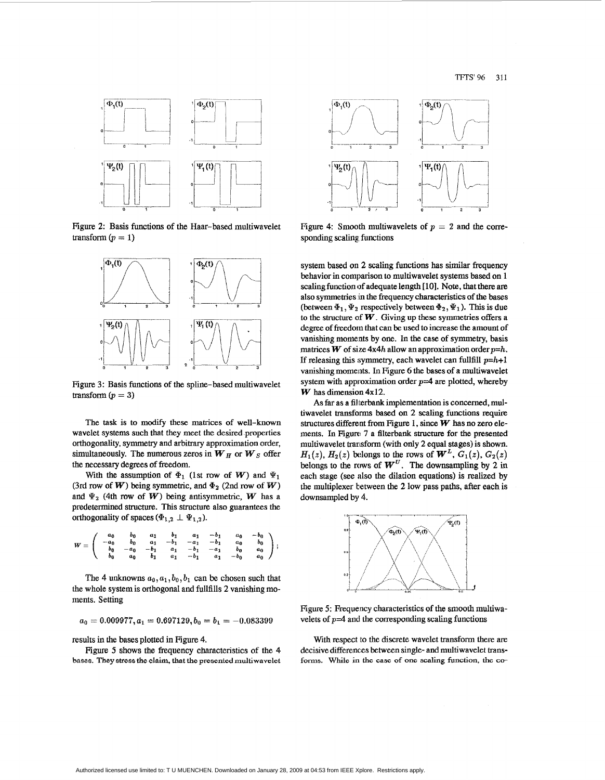

Figure 2: Basis functions of the Haar-based multiwavelet transform  $(p = 1)$ 



Figure 3: Basis functions of the spline-based multiwavelet transform  $(p = 3)$ 

The **task** is **to** modify these matrices of well-known wavelet systems such that they meet the desired properties orthogonality, symmetry and arbitrary approximation order, simultaneously. The numerous zeros in  $W_H$  or  $W_S$  offer the necessary degrees of fteedom.

With the assumption of  $\Phi_1$  (1st row of *W*) and  $\Psi_1$ (3rd row of W) being symmetric, and  $\Phi_2$  (2nd row of W) and  $\Psi_2$  (4th row of W) being antisymmetric, W has a predetermined structure. This structure also guarantees the orthogonality of spaces  $(\Phi_{1,2} \perp \Psi_{1,2})$ .

$$
W = \left( \begin{array}{cccccc} a_0 & b_0 & a_1 & b_1 & a_1 & -b_1 & a_0 & -b_0 \\ -a_0 & b_0 & a_1 & -b_1 & -a_1 & -b_1 & a_0 & b_0 \\ b_0 & -a_0 & -b_1 & a_1 & -b_1 & -a_1 & b_0 & a_0 \\ b_0 & a_0 & b_1 & a_1 & -b_1 & a_1 & -b_0 & a_0 \end{array} \right);
$$

The 4 unknowns  $a_0$ ,  $a_1$ ,  $b_0$ ,  $b_1$  can be chosen such that the whole system is orthogonal and fullfills 2 vanishing moments. Setting

$$
a_0=0.009977, a_1=0.697129, b_0=b_1=-0.083399\\
$$

results in the **bases** plotted in Figure 4.

 $\overline{a}$ 

**Figure** *5* **shows** the frequency characteristics of the **4 bases. They stress the elaim, that the presented multiwavelet** 



Figure 4: Smooth multiwavelets of  $p = 2$  and the corresponding scaling, functions

system based on 2 scaling functions has similar frequency behavior in comparison to multiwavelet systems based on 1 scaling function of adequate length [10]. Note, that there are also symmetries **;in** the frequency characteristics of the **bases**  (between  $\Phi_1, \Psi_2$  respectively between  $\Phi_2, \Psi_1$ ). This is due to the structure of  $W$ . Giving up these symmetries offers a degree of freedom that can be used to increase the amount of vanishing moments by one. In the case of symmetry, basis matrices W of size  $4x4h$  allow an approximation order  $p=h$ . If releasing this symmetry, each wavelet can fullfill *p=h+l*  vanishing moments. In Figure 6 the bases of a multiwavelet system with approximation order *p=4* **are** plotted, whereby W has dimension **4x12.** 

As far as a filterbank implementation is concerned, multiwavelet **transforms** based on **2** scaling functions require structures different from **Figure 1, since** W **has** no zero elements. **In** Figure 7 a filterbank **structure** for the presented multiwavelet transform (with only 2 equal stages) is shown.  $H_1(z)$ ,  $H_2(z)$  belongs to the rows of  $\mathbf{W}^L$ ,  $G_1(z)$ ,  $G_2(z)$ belongs to the rows of  $\mathbf{W}^U$ . The downsampling by 2 in each stage (see **dso** the dilation equations) is realized **by**  the multiplexer between the 2 low pass paths, after each is downsampled **by 4.** 



Figure *5:* Frequency characteristics of the smooth multiwavelets of  $p=4$  and the corresponding scaling functions

With respect to the discrete wavelet **transform** there are decisive differences between single- and multiwavelet **transforms.** While **in the case of one scaling function, the** *co-*